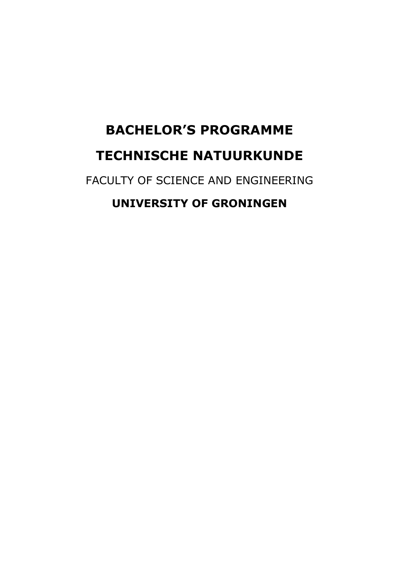# **BACHELOR'S PROGRAMME TECHNISCHE NATUURKUNDE**

FACULTY OF SCIENCE AND ENGINEERING

# **UNIVERSITY OF GRONINGEN**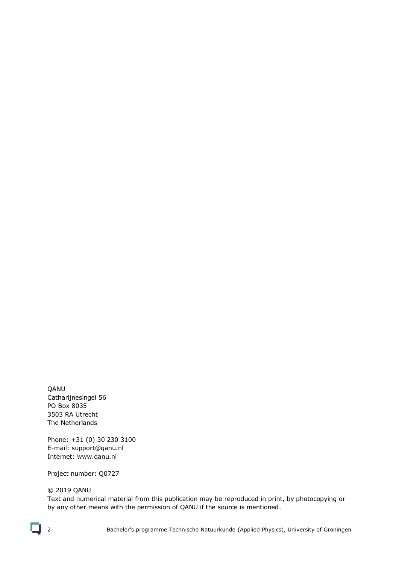QANU Catharijnesingel 56 PO Box 8035 3503 RA Utrecht The Netherlands

Phone: +31 (0) 30 230 3100 E-mail: support@qanu.nl Internet: www.qanu.nl

Project number: Q0727

#### © 2019 QANU

Text and numerical material from this publication may be reproduced in print, by photocopying or by any other means with the permission of QANU if the source is mentioned.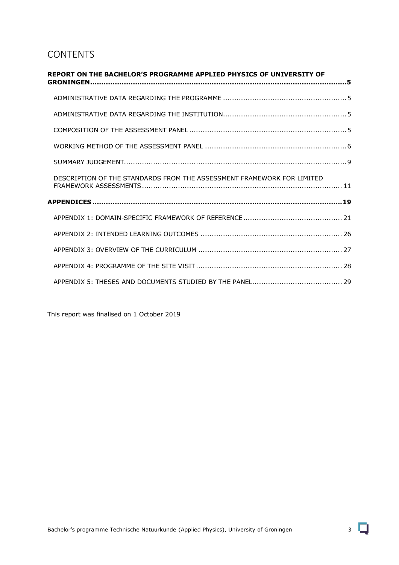### CONTENTS

| REPORT ON THE BACHELOR'S PROGRAMME APPLIED PHYSICS OF UNIVERSITY OF    |  |
|------------------------------------------------------------------------|--|
|                                                                        |  |
|                                                                        |  |
|                                                                        |  |
|                                                                        |  |
|                                                                        |  |
|                                                                        |  |
| DESCRIPTION OF THE STANDARDS FROM THE ASSESSMENT FRAMEWORK FOR LIMITED |  |
|                                                                        |  |
|                                                                        |  |
|                                                                        |  |
|                                                                        |  |
|                                                                        |  |
|                                                                        |  |

This report was finalised on 1 October 2019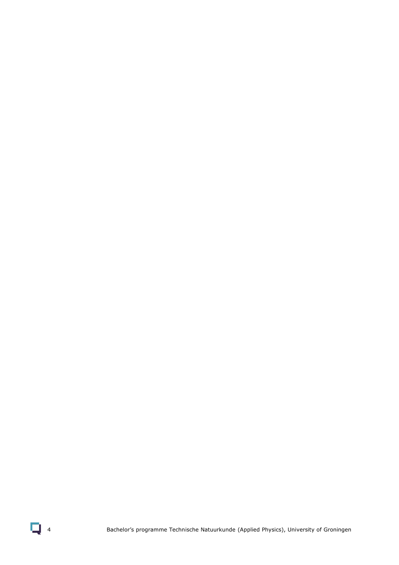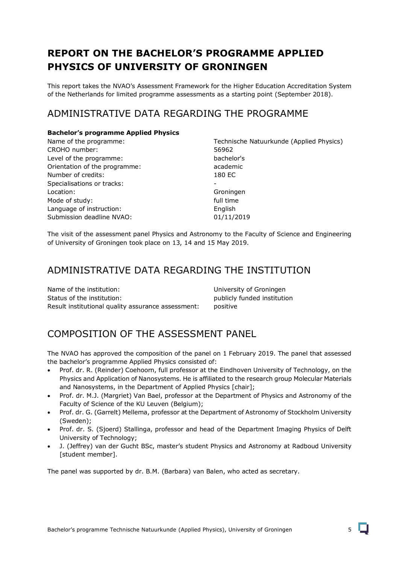# <span id="page-4-0"></span>**REPORT ON THE BACHELOR'S PROGRAMME APPLIED PHYSICS OF UNIVERSITY OF GRONINGEN**

This report takes the NVAO's Assessment Framework for the Higher Education Accreditation System of the Netherlands for limited programme assessments as a starting point (September 2018).

## <span id="page-4-1"></span>ADMINISTRATIVE DATA REGARDING THE PROGRAMME

#### **Bachelor's programme Applied Physics**

CROHO number: 56962 Level of the programme: bachelor's Orientation of the programme: academic Number of credits: 180 EC Specialisations or tracks: Location: Groningen Mode of study: The study: the study of study: Language of instruction: English Submission deadline NVAO: 01/11/2019

Name of the programme: Technische Natuurkunde (Applied Physics)

The visit of the assessment panel Physics and Astronomy to the Faculty of Science and Engineering of University of Groningen took place on 13, 14 and 15 May 2019.

### <span id="page-4-2"></span>ADMINISTRATIVE DATA REGARDING THE INSTITUTION

Name of the institution: Name of the institution: Status of the institution: example in the institution in the status of the institution of the institution of the institution of the institution of the institution of the institution of the institution of the institution of Result institutional quality assurance assessment: positive

# <span id="page-4-3"></span>COMPOSITION OF THE ASSESSMENT PANEL

The NVAO has approved the composition of the panel on 1 February 2019. The panel that assessed the bachelor's programme Applied Physics consisted of:

- Prof. dr. R. (Reinder) Coehoorn, full professor at the Eindhoven University of Technology, on the Physics and Application of Nanosystems. He is affiliated to the research group Molecular Materials and Nanosystems, in the Department of Applied Physics [chair];
- Prof. dr. M.J. (Margriet) Van Bael, professor at the Department of Physics and Astronomy of the Faculty of Science of the KU Leuven (Belgium);
- Prof. dr. G. (Garrelt) Mellema, professor at the Department of Astronomy of Stockholm University (Sweden);
- Prof. dr. S. (Sjoerd) Stallinga, professor and head of the Department Imaging Physics of Delft University of Technology;
- J. (Jeffrey) van der Gucht BSc, master's student Physics and Astronomy at Radboud University [student member].

The panel was supported by dr. B.M. (Barbara) van Balen, who acted as secretary.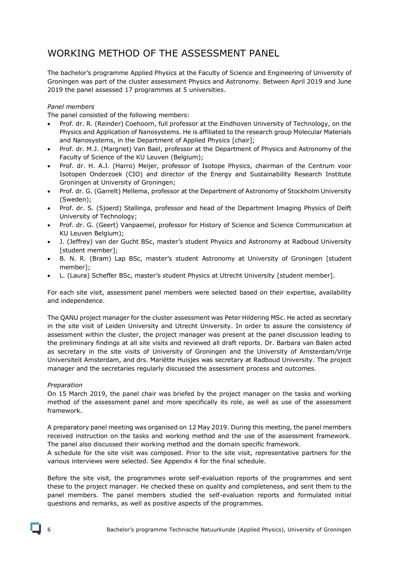# <span id="page-5-0"></span>WORKING METHOD OF THE ASSESSMENT PANEL

The bachelor's programme Applied Physics at the Faculty of Science and Engineering of University of Groningen was part of the cluster assessment Physics and Astronomy. Between April 2019 and June 2019 the panel assessed 17 programmes at 5 universities.

#### *Panel members*

The panel consisted of the following members:

- Prof. dr. R. (Reinder) Coehoorn, full professor at the Eindhoven University of Technology, on the Physics and Application of Nanosystems. He is affiliated to the research group Molecular Materials and Nanosystems, in the Department of Applied Physics [chair];
- Prof. dr. M.J. (Margriet) Van Bael, professor at the Department of Physics and Astronomy of the Faculty of Science of the KU Leuven (Belgium);
- Prof. dr. H. A.J. (Harro) Meijer, professor of Isotope Physics, chairman of the Centrum voor Isotopen Onderzoek (CIO) and director of the Energy and Sustainability Research Institute Groningen at University of Groningen;
- Prof. dr. G. (Garrelt) Mellema, professor at the Department of Astronomy of Stockholm University (Sweden);
- Prof. dr. S. (Sjoerd) Stallinga, professor and head of the Department Imaging Physics of Delft University of Technology;
- Prof. dr. G. (Geert) Vanpaemel, professor for History of Science and Science Communication at KU Leuven Belgium);
- J. (Jeffrey) van der Gucht BSc, master's student Physics and Astronomy at Radboud University [student member];
- B. N. R. (Bram) Lap BSc, master's student Astronomy at University of Groningen [student member];
- L. (Laura) Scheffer BSc, master's student Physics at Utrecht University [student member].

For each site visit, assessment panel members were selected based on their expertise, availability and independence.

The QANU project manager for the cluster assessment was Peter Hildering MSc. He acted as secretary in the site visit of Leiden University and Utrecht University. In order to assure the consistency of assessment within the cluster, the project manager was present at the panel discussion leading to the preliminary findings at all site visits and reviewed all draft reports. Dr. Barbara van Balen acted as secretary in the site visits of University of Groningen and the University of Amsterdam/Vrije Universiteit Amsterdam, and drs. Mariëtte Huisjes was secretary at Radboud University. The project manager and the secretaries regularly discussed the assessment process and outcomes.

#### *Preparation*

On 15 March 2019, the panel chair was briefed by the project manager on the tasks and working method of the assessment panel and more specifically its role, as well as use of the assessment framework.

A preparatory panel meeting was organised on 12 May 2019. During this meeting, the panel members received instruction on the tasks and working method and the use of the assessment framework. The panel also discussed their working method and the domain specific framework.

A schedule for the site visit was composed. Prior to the site visit, representative partners for the various interviews were selected. See Appendix 4 for the final schedule.

Before the site visit, the programmes wrote self-evaluation reports of the programmes and sent these to the project manager. He checked these on quality and completeness, and sent them to the panel members. The panel members studied the self-evaluation reports and formulated initial questions and remarks, as well as positive aspects of the programmes.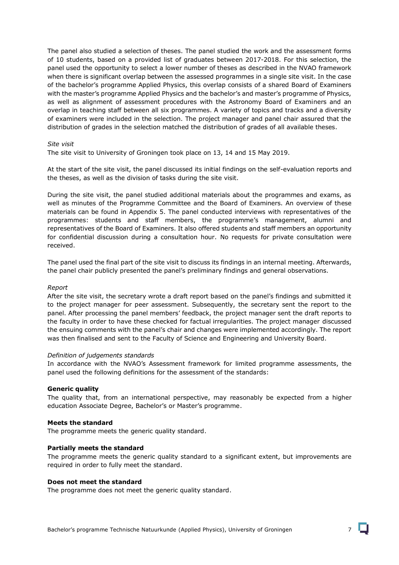The panel also studied a selection of theses. The panel studied the work and the assessment forms of 10 students, based on a provided list of graduates between 2017-2018. For this selection, the panel used the opportunity to select a lower number of theses as described in the NVAO framework when there is significant overlap between the assessed programmes in a single site visit. In the case of the bachelor's programme Applied Physics, this overlap consists of a shared Board of Examiners with the master's programme Applied Physics and the bachelor's and master's programme of Physics, as well as alignment of assessment procedures with the Astronomy Board of Examiners and an overlap in teaching staff between all six programmes. A variety of topics and tracks and a diversity of examiners were included in the selection. The project manager and panel chair assured that the distribution of grades in the selection matched the distribution of grades of all available theses.

#### *Site visit*

The site visit to University of Groningen took place on 13, 14 and 15 May 2019.

At the start of the site visit, the panel discussed its initial findings on the self-evaluation reports and the theses, as well as the division of tasks during the site visit.

During the site visit, the panel studied additional materials about the programmes and exams, as well as minutes of the Programme Committee and the Board of Examiners. An overview of these materials can be found in Appendix 5. The panel conducted interviews with representatives of the programmes: students and staff members, the programme's management, alumni and representatives of the Board of Examiners. It also offered students and staff members an opportunity for confidential discussion during a consultation hour. No requests for private consultation were received.

The panel used the final part of the site visit to discuss its findings in an internal meeting. Afterwards, the panel chair publicly presented the panel's preliminary findings and general observations.

#### *Report*

After the site visit, the secretary wrote a draft report based on the panel's findings and submitted it to the project manager for peer assessment. Subsequently, the secretary sent the report to the panel. After processing the panel members' feedback, the project manager sent the draft reports to the faculty in order to have these checked for factual irregularities. The project manager discussed the ensuing comments with the panel's chair and changes were implemented accordingly. The report was then finalised and sent to the Faculty of Science and Engineering and University Board.

#### *Definition of judgements standards*

In accordance with the NVAO's Assessment framework for limited programme assessments, the panel used the following definitions for the assessment of the standards:

#### **Generic quality**

The quality that, from an international perspective, may reasonably be expected from a higher education Associate Degree, Bachelor's or Master's programme.

#### **Meets the standard**

The programme meets the generic quality standard.

#### **Partially meets the standard**

The programme meets the generic quality standard to a significant extent, but improvements are required in order to fully meet the standard.

#### **Does not meet the standard**

The programme does not meet the generic quality standard.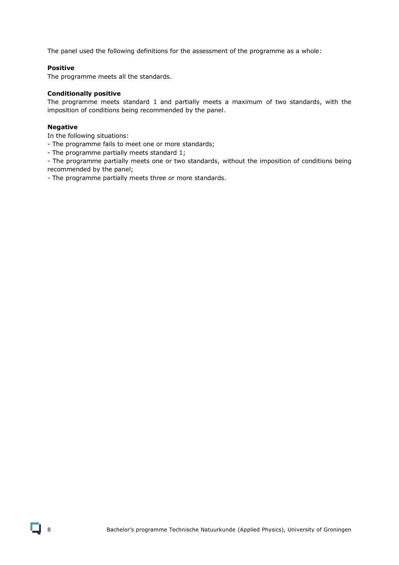The panel used the following definitions for the assessment of the programme as a whole:

#### **Positive**

The programme meets all the standards.

#### **Conditionally positive**

The programme meets standard 1 and partially meets a maximum of two standards, with the imposition of conditions being recommended by the panel.

#### **Negative**

In the following situations:

- The programme fails to meet one or more standards;

- The programme partially meets standard 1;

- The programme partially meets one or two standards, without the imposition of conditions being recommended by the panel;

- The programme partially meets three or more standards.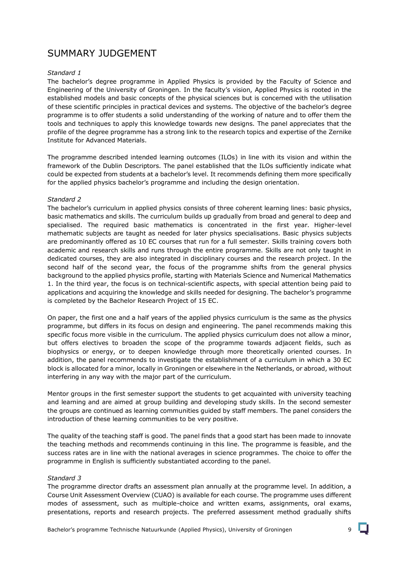# <span id="page-8-0"></span>SUMMARY JUDGEMENT

#### *Standard 1*

The bachelor's degree programme in Applied Physics is provided by the Faculty of Science and Engineering of the University of Groningen. In the faculty's vision, Applied Physics is rooted in the established models and basic concepts of the physical sciences but is concerned with the utilisation of these scientific principles in practical devices and systems. The objective of the bachelor's degree programme is to offer students a solid understanding of the working of nature and to offer them the tools and techniques to apply this knowledge towards new designs. The panel appreciates that the profile of the degree programme has a strong link to the research topics and expertise of the Zernike Institute for Advanced Materials.

The programme described intended learning outcomes (ILOs) in line with its vision and within the framework of the Dublin Descriptors. The panel established that the ILOs sufficiently indicate what could be expected from students at a bachelor's level. It recommends defining them more specifically for the applied physics bachelor's programme and including the design orientation.

#### *Standard 2*

The bachelor's curriculum in applied physics consists of three coherent learning lines: basic physics, basic mathematics and skills. The curriculum builds up gradually from broad and general to deep and specialised. The required basic mathematics is concentrated in the first year. Higher-level mathematic subjects are taught as needed for later physics specialisations. Basic physics subjects are predominantly offered as 10 EC courses that run for a full semester. Skills training covers both academic and research skills and runs through the entire programme. Skills are not only taught in dedicated courses, they are also integrated in disciplinary courses and the research project. In the second half of the second year, the focus of the programme shifts from the general physics background to the applied physics profile, starting with Materials Science and Numerical Mathematics 1. In the third year, the focus is on technical-scientific aspects, with special attention being paid to applications and acquiring the knowledge and skills needed for designing. The bachelor's programme is completed by the Bachelor Research Project of 15 EC.

On paper, the first one and a half years of the applied physics curriculum is the same as the physics programme, but differs in its focus on design and engineering. The panel recommends making this specific focus more visible in the curriculum. The applied physics curriculum does not allow a minor, but offers electives to broaden the scope of the programme towards adjacent fields, such as biophysics or energy, or to deepen knowledge through more theoretically oriented courses. In addition, the panel recommends to investigate the establishment of a curriculum in which a 30 EC block is allocated for a minor, locally in Groningen or elsewhere in the Netherlands, or abroad, without interfering in any way with the major part of the curriculum.

Mentor groups in the first semester support the students to get acquainted with university teaching and learning and are aimed at group building and developing study skills. In the second semester the groups are continued as learning communities guided by staff members. The panel considers the introduction of these learning communities to be very positive.

The quality of the teaching staff is good. The panel finds that a good start has been made to innovate the teaching methods and recommends continuing in this line. The programme is feasible, and the success rates are in line with the national averages in science programmes. The choice to offer the programme in English is sufficiently substantiated according to the panel.

#### *Standard 3*

The programme director drafts an assessment plan annually at the programme level. In addition, a Course Unit Assessment Overview (CUAO) is available for each course. The programme uses different modes of assessment, such as multiple-choice and written exams, assignments, oral exams, presentations, reports and research projects. The preferred assessment method gradually shifts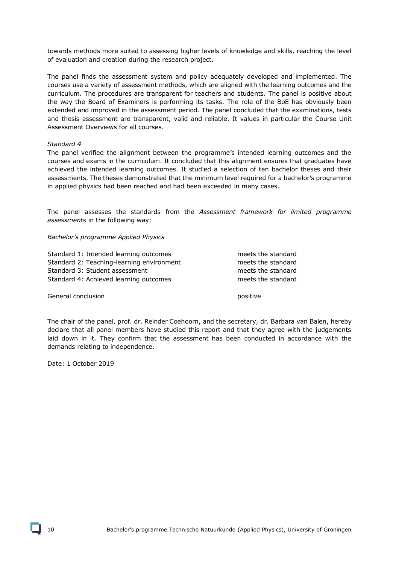towards methods more suited to assessing higher levels of knowledge and skills, reaching the level of evaluation and creation during the research project.

The panel finds the assessment system and policy adequately developed and implemented. The courses use a variety of assessment methods, which are aligned with the learning outcomes and the curriculum. The procedures are transparent for teachers and students. The panel is positive about the way the Board of Examiners is performing its tasks. The role of the BoE has obviously been extended and improved in the assessment period. The panel concluded that the examinations, tests and thesis assessment are transparent, valid and reliable. It values in particular the Course Unit Assessment Overviews for all courses.

#### *Standard 4*

The panel verified the alignment between the programme's intended learning outcomes and the courses and exams in the curriculum. It concluded that this alignment ensures that graduates have achieved the intended learning outcomes. It studied a selection of ten bachelor theses and their assessments. The theses demonstrated that the minimum level required for a bachelor's programme in applied physics had been reached and had been exceeded in many cases.

The panel assesses the standards from the *Assessment framework for limited programme assessments* in the following way:

#### *Bachelor's programme Applied Physics*

| Standard 1: Intended learning outcomes    | meets the standard |
|-------------------------------------------|--------------------|
| Standard 2: Teaching-learning environment | meets the standard |
| Standard 3: Student assessment            | meets the standard |
| Standard 4: Achieved learning outcomes    | meets the standard |
| General conclusion                        | positive           |

The chair of the panel, prof. dr. Reinder Coehoorn, and the secretary, dr. Barbara van Balen, hereby declare that all panel members have studied this report and that they agree with the judgements laid down in it. They confirm that the assessment has been conducted in accordance with the demands relating to independence.

Date: 1 October 2019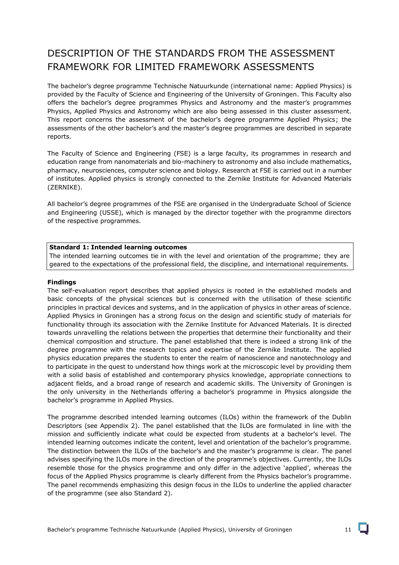# <span id="page-10-0"></span>DESCRIPTION OF THE STANDARDS FROM THE ASSESSMENT FRAMEWORK FOR LIMITED FRAMEWORK ASSESSMENTS

The bachelor's degree programme Technische Natuurkunde (international name: Applied Physics) is provided by the Faculty of Science and Engineering of the University of Groningen. This Faculty also offers the bachelor's degree programmes Physics and Astronomy and the master's programmes Physics, Applied Physics and Astronomy which are also being assessed in this cluster assessment. This report concerns the assessment of the bachelor's degree programme Applied Physics; the assessments of the other bachelor's and the master's degree programmes are described in separate reports.

The Faculty of Science and Engineering (FSE) is a large faculty, its programmes in research and education range from nanomaterials and bio-machinery to astronomy and also include mathematics, pharmacy, neurosciences, computer science and biology. Research at FSE is carried out in a number of institutes. Applied physics is strongly connected to the Zernike Institute for Advanced Materials (ZERNIKE).

All bachelor's degree programmes of the FSE are organised in the Undergraduate School of Science and Engineering (USSE), which is managed by the director together with the programme directors of the respective programmes.

#### **Standard 1: Intended learning outcomes**

The intended learning outcomes tie in with the level and orientation of the programme; they are geared to the expectations of the professional field, the discipline, and international requirements.

#### **Findings**

The self-evaluation report describes that applied physics is rooted in the established models and basic concepts of the physical sciences but is concerned with the utilisation of these scientific principles in practical devices and systems, and in the application of physics in other areas of science. Applied Physics in Groningen has a strong focus on the design and scientific study of materials for functionality through its association with the Zernike Institute for Advanced Materials. It is directed towards unravelling the relations between the properties that determine their functionality and their chemical composition and structure. The panel established that there is indeed a strong link of the degree programme with the research topics and expertise of the Zernike Institute. The applied physics education prepares the students to enter the realm of nanoscience and nanotechnology and to participate in the quest to understand how things work at the microscopic level by providing them with a solid basis of established and contemporary physics knowledge, appropriate connections to adjacent fields, and a broad range of research and academic skills. The University of Groningen is the only university in the Netherlands offering a bachelor's programme in Physics alongside the bachelor's programme in Applied Physics.

The programme described intended learning outcomes (ILOs) within the framework of the Dublin Descriptors (see Appendix 2). The panel established that the ILOs are formulated in line with the mission and sufficiently indicate what could be expected from students at a bachelor's level. The intended learning outcomes indicate the content, level and orientation of the bachelor's programme. The distinction between the ILOs of the bachelor's and the master's programme is clear. The panel advises specifying the ILOs more in the direction of the programme's objectives. Currently, the ILOs resemble those for the physics programme and only differ in the adjective 'applied', whereas the focus of the Applied Physics programme is clearly different from the Physics bachelor's programme. The panel recommends emphasizing this design focus in the ILOs to underline the applied character of the programme (see also Standard 2).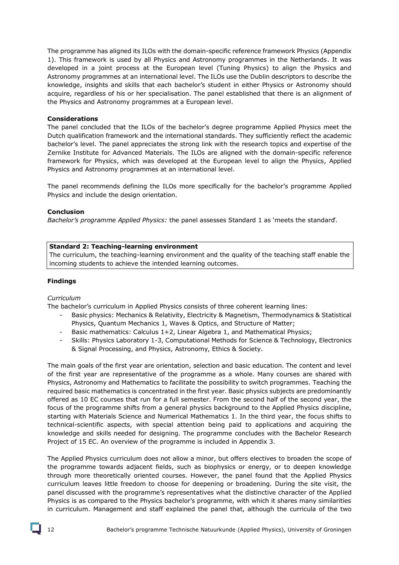The programme has aligned its ILOs with the domain-specific reference framework Physics (Appendix 1). This framework is used by all Physics and Astronomy programmes in the Netherlands. It was developed in a joint process at the European level (Tuning Physics) to align the Physics and Astronomy programmes at an international level. The ILOs use the Dublin descriptors to describe the knowledge, insights and skills that each bachelor's student in either Physics or Astronomy should acquire, regardless of his or her specialisation. The panel established that there is an alignment of the Physics and Astronomy programmes at a European level.

#### **Considerations**

The panel concluded that the ILOs of the bachelor's degree programme Applied Physics meet the Dutch qualification framework and the international standards. They sufficiently reflect the academic bachelor's level. The panel appreciates the strong link with the research topics and expertise of the Zernike Institute for Advanced Materials. The ILOs are aligned with the domain-specific reference framework for Physics, which was developed at the European level to align the Physics, Applied Physics and Astronomy programmes at an international level.

The panel recommends defining the ILOs more specifically for the bachelor's programme Applied Physics and include the design orientation.

#### **Conclusion**

*Bachelor's programme Applied Physics:* the panel assesses Standard 1 as 'meets the standard'.

#### **Standard 2: Teaching-learning environment**

The curriculum, the teaching-learning environment and the quality of the teaching staff enable the incoming students to achieve the intended learning outcomes.

#### **Findings**

#### *Curriculum*

The bachelor's curriculum in Applied Physics consists of three coherent learning lines:

- Basic physics: Mechanics & Relativity, Electricity & Magnetism, Thermodynamics & Statistical Physics, Quantum Mechanics 1, Waves & Optics, and Structure of Matter;
- Basic mathematics: Calculus 1+2, Linear Algebra 1, and Mathematical Physics;
- Skills: Physics Laboratory 1-3, Computational Methods for Science & Technology, Electronics & Signal Processing, and Physics, Astronomy, Ethics & Society.

The main goals of the first year are orientation, selection and basic education. The content and level of the first year are representative of the programme as a whole. Many courses are shared with Physics, Astronomy and Mathematics to facilitate the possibility to switch programmes. Teaching the required basic mathematics is concentrated in the first year. Basic physics subjects are predominantly offered as 10 EC courses that run for a full semester. From the second half of the second year, the focus of the programme shifts from a general physics background to the Applied Physics discipline, starting with Materials Science and Numerical Mathematics 1. In the third year, the focus shifts to technical-scientific aspects, with special attention being paid to applications and acquiring the knowledge and skills needed for designing. The programme concludes with the Bachelor Research Project of 15 EC. An overview of the programme is included in Appendix 3.

The Applied Physics curriculum does not allow a minor, but offers electives to broaden the scope of the programme towards adjacent fields, such as biophysics or energy, or to deepen knowledge through more theoretically oriented courses. However, the panel found that the Applied Physics curriculum leaves little freedom to choose for deepening or broadening. During the site visit, the panel discussed with the programme's representatives what the distinctive character of the Applied Physics is as compared to the Physics bachelor's programme, with which it shares many similarities in curriculum. Management and staff explained the panel that, although the curricula of the two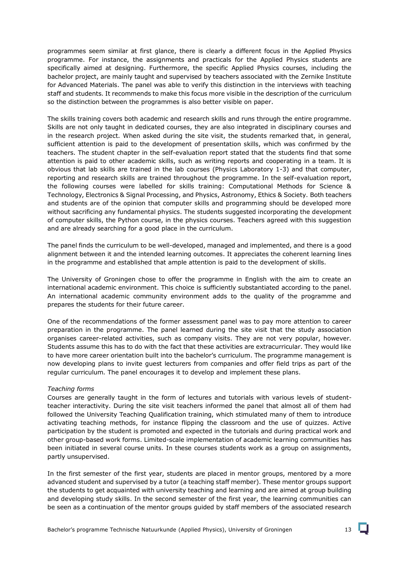programmes seem similar at first glance, there is clearly a different focus in the Applied Physics programme. For instance, the assignments and practicals for the Applied Physics students are specifically aimed at designing. Furthermore, the specific Applied Physics courses, including the bachelor project, are mainly taught and supervised by teachers associated with the Zernike Institute for Advanced Materials. The panel was able to verify this distinction in the interviews with teaching staff and students. It recommends to make this focus more visible in the description of the curriculum so the distinction between the programmes is also better visible on paper.

The skills training covers both academic and research skills and runs through the entire programme. Skills are not only taught in dedicated courses, they are also integrated in disciplinary courses and in the research project. When asked during the site visit, the students remarked that, in general, sufficient attention is paid to the development of presentation skills, which was confirmed by the teachers. The student chapter in the self-evaluation report stated that the students find that some attention is paid to other academic skills, such as writing reports and cooperating in a team. It is obvious that lab skills are trained in the lab courses (Physics Laboratory 1-3) and that computer, reporting and research skills are trained throughout the programme. In the self-evaluation report, the following courses were labelled for skills training: Computational Methods for Science & Technology, Electronics & Signal Processing, and Physics, Astronomy, Ethics & Society. Both teachers and students are of the opinion that computer skills and programming should be developed more without sacrificing any fundamental physics. The students suggested incorporating the development of computer skills, the Python course, in the physics courses. Teachers agreed with this suggestion and are already searching for a good place in the curriculum.

The panel finds the curriculum to be well-developed, managed and implemented, and there is a good alignment between it and the intended learning outcomes. It appreciates the coherent learning lines in the programme and established that ample attention is paid to the development of skills.

The University of Groningen chose to offer the programme in English with the aim to create an international academic environment. This choice is sufficiently substantiated according to the panel. An international academic community environment adds to the quality of the programme and prepares the students for their future career.

One of the recommendations of the former assessment panel was to pay more attention to career preparation in the programme. The panel learned during the site visit that the study association organises career-related activities, such as company visits. They are not very popular, however. Students assume this has to do with the fact that these activities are extracurricular. They would like to have more career orientation built into the bachelor's curriculum. The programme management is now developing plans to invite guest lecturers from companies and offer field trips as part of the regular curriculum. The panel encourages it to develop and implement these plans.

#### *Teaching forms*

Courses are generally taught in the form of lectures and tutorials with various levels of studentteacher interactivity. During the site visit teachers informed the panel that almost all of them had followed the University Teaching Qualification training, which stimulated many of them to introduce activating teaching methods, for instance flipping the classroom and the use of quizzes. Active participation by the student is promoted and expected in the tutorials and during practical work and other group-based work forms. Limited-scale implementation of academic learning communities has been initiated in several course units. In these courses students work as a group on assignments, partly unsupervised.

In the first semester of the first year, students are placed in mentor groups, mentored by a more advanced student and supervised by a tutor (a teaching staff member). These mentor groups support the students to get acquainted with university teaching and learning and are aimed at group building and developing study skills. In the second semester of the first year, the learning communities can be seen as a continuation of the mentor groups guided by staff members of the associated research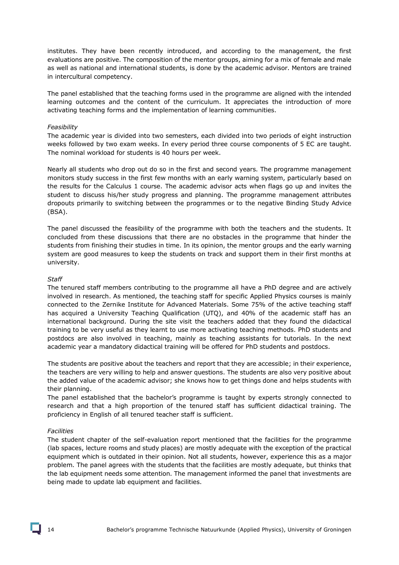institutes. They have been recently introduced, and according to the management, the first evaluations are positive. The composition of the mentor groups, aiming for a mix of female and male as well as national and international students, is done by the academic advisor. Mentors are trained in intercultural competency.

The panel established that the teaching forms used in the programme are aligned with the intended learning outcomes and the content of the curriculum. It appreciates the introduction of more activating teaching forms and the implementation of learning communities.

#### *Feasibility*

The academic year is divided into two semesters, each divided into two periods of eight instruction weeks followed by two exam weeks. In every period three course components of 5 EC are taught. The nominal workload for students is 40 hours per week.

Nearly all students who drop out do so in the first and second years. The programme management monitors study success in the first few months with an early warning system, particularly based on the results for the Calculus 1 course. The academic advisor acts when flags go up and invites the student to discuss his/her study progress and planning. The programme management attributes dropouts primarily to switching between the programmes or to the negative Binding Study Advice (BSA).

The panel discussed the feasibility of the programme with both the teachers and the students. It concluded from these discussions that there are no obstacles in the programme that hinder the students from finishing their studies in time. In its opinion, the mentor groups and the early warning system are good measures to keep the students on track and support them in their first months at university.

#### *Staff*

The tenured staff members contributing to the programme all have a PhD degree and are actively involved in research. As mentioned, the teaching staff for specific Applied Physics courses is mainly connected to the Zernike Institute for Advanced Materials. Some 75% of the active teaching staff has acquired a University Teaching Qualification (UTQ), and 40% of the academic staff has an international background. During the site visit the teachers added that they found the didactical training to be very useful as they learnt to use more activating teaching methods. PhD students and postdocs are also involved in teaching, mainly as teaching assistants for tutorials. In the next academic year a mandatory didactical training will be offered for PhD students and postdocs.

The students are positive about the teachers and report that they are accessible; in their experience, the teachers are very willing to help and answer questions. The students are also very positive about the added value of the academic advisor; she knows how to get things done and helps students with their planning.

The panel established that the bachelor's programme is taught by experts strongly connected to research and that a high proportion of the tenured staff has sufficient didactical training. The proficiency in English of all tenured teacher staff is sufficient.

#### *Facilities*

The student chapter of the self-evaluation report mentioned that the facilities for the programme (lab spaces, lecture rooms and study places) are mostly adequate with the exception of the practical equipment which is outdated in their opinion. Not all students, however, experience this as a major problem. The panel agrees with the students that the facilities are mostly adequate, but thinks that the lab equipment needs some attention. The management informed the panel that investments are being made to update lab equipment and facilities.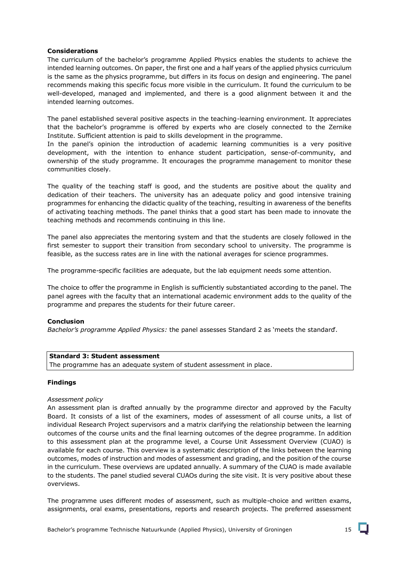#### **Considerations**

The curriculum of the bachelor's programme Applied Physics enables the students to achieve the intended learning outcomes. On paper, the first one and a half years of the applied physics curriculum is the same as the physics programme, but differs in its focus on design and engineering. The panel recommends making this specific focus more visible in the curriculum. It found the curriculum to be well-developed, managed and implemented, and there is a good alignment between it and the intended learning outcomes.

The panel established several positive aspects in the teaching-learning environment. It appreciates that the bachelor's programme is offered by experts who are closely connected to the Zernike Institute. Sufficient attention is paid to skills development in the programme.

In the panel's opinion the introduction of academic learning communities is a very positive development, with the intention to enhance student participation, sense-of-community, and ownership of the study programme. It encourages the programme management to monitor these communities closely.

The quality of the teaching staff is good, and the students are positive about the quality and dedication of their teachers. The university has an adequate policy and good intensive training programmes for enhancing the didactic quality of the teaching, resulting in awareness of the benefits of activating teaching methods. The panel thinks that a good start has been made to innovate the teaching methods and recommends continuing in this line.

The panel also appreciates the mentoring system and that the students are closely followed in the first semester to support their transition from secondary school to university. The programme is feasible, as the success rates are in line with the national averages for science programmes.

The programme-specific facilities are adequate, but the lab equipment needs some attention.

The choice to offer the programme in English is sufficiently substantiated according to the panel. The panel agrees with the faculty that an international academic environment adds to the quality of the programme and prepares the students for their future career.

#### **Conclusion**

*Bachelor's programme Applied Physics:* the panel assesses Standard 2 as 'meets the standard'.

#### **Standard 3: Student assessment**

The programme has an adequate system of student assessment in place.

#### **Findings**

#### *Assessment policy*

An assessment plan is drafted annually by the programme director and approved by the Faculty Board. It consists of a list of the examiners, modes of assessment of all course units, a list of individual Research Project supervisors and a matrix clarifying the relationship between the learning outcomes of the course units and the final learning outcomes of the degree programme. In addition to this assessment plan at the programme level, a Course Unit Assessment Overview (CUAO) is available for each course. This overview is a systematic description of the links between the learning outcomes, modes of instruction and modes of assessment and grading, and the position of the course in the curriculum. These overviews are updated annually. A summary of the CUAO is made available to the students. The panel studied several CUAOs during the site visit. It is very positive about these overviews.

The programme uses different modes of assessment, such as multiple-choice and written exams, assignments, oral exams, presentations, reports and research projects. The preferred assessment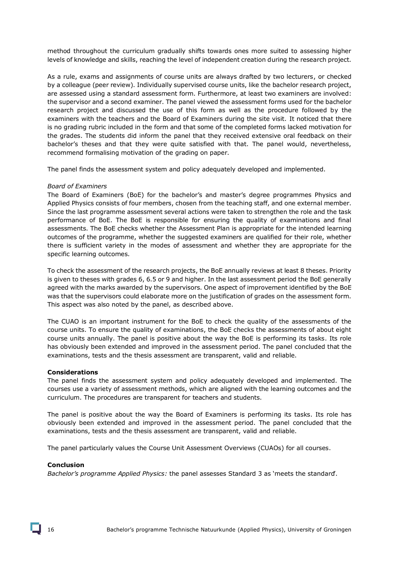method throughout the curriculum gradually shifts towards ones more suited to assessing higher levels of knowledge and skills, reaching the level of independent creation during the research project.

As a rule, exams and assignments of course units are always drafted by two lecturers, or checked by a colleague (peer review). Individually supervised course units, like the bachelor research project, are assessed using a standard assessment form. Furthermore, at least two examiners are involved: the supervisor and a second examiner. The panel viewed the assessment forms used for the bachelor research project and discussed the use of this form as well as the procedure followed by the examiners with the teachers and the Board of Examiners during the site visit. It noticed that there is no grading rubric included in the form and that some of the completed forms lacked motivation for the grades. The students did inform the panel that they received extensive oral feedback on their bachelor's theses and that they were quite satisfied with that. The panel would, nevertheless, recommend formalising motivation of the grading on paper.

The panel finds the assessment system and policy adequately developed and implemented.

#### *Board of Examiners*

The Board of Examiners (BoE) for the bachelor's and master's degree programmes Physics and Applied Physics consists of four members, chosen from the teaching staff, and one external member. Since the last programme assessment several actions were taken to strengthen the role and the task performance of BoE. The BoE is responsible for ensuring the quality of examinations and final assessments. The BoE checks whether the Assessment Plan is appropriate for the intended learning outcomes of the programme, whether the suggested examiners are qualified for their role, whether there is sufficient variety in the modes of assessment and whether they are appropriate for the specific learning outcomes.

To check the assessment of the research projects, the BoE annually reviews at least 8 theses. Priority is given to theses with grades 6, 6.5 or 9 and higher. In the last assessment period the BoE generally agreed with the marks awarded by the supervisors. One aspect of improvement identified by the BoE was that the supervisors could elaborate more on the justification of grades on the assessment form. This aspect was also noted by the panel, as described above.

The CUAO is an important instrument for the BoE to check the quality of the assessments of the course units. To ensure the quality of examinations, the BoE checks the assessments of about eight course units annually. The panel is positive about the way the BoE is performing its tasks. Its role has obviously been extended and improved in the assessment period. The panel concluded that the examinations, tests and the thesis assessment are transparent, valid and reliable.

#### **Considerations**

The panel finds the assessment system and policy adequately developed and implemented. The courses use a variety of assessment methods, which are aligned with the learning outcomes and the curriculum. The procedures are transparent for teachers and students.

The panel is positive about the way the Board of Examiners is performing its tasks. Its role has obviously been extended and improved in the assessment period. The panel concluded that the examinations, tests and the thesis assessment are transparent, valid and reliable.

The panel particularly values the Course Unit Assessment Overviews (CUAOs) for all courses.

#### **Conclusion**

*Bachelor's programme Applied Physics:* the panel assesses Standard 3 as 'meets the standard'.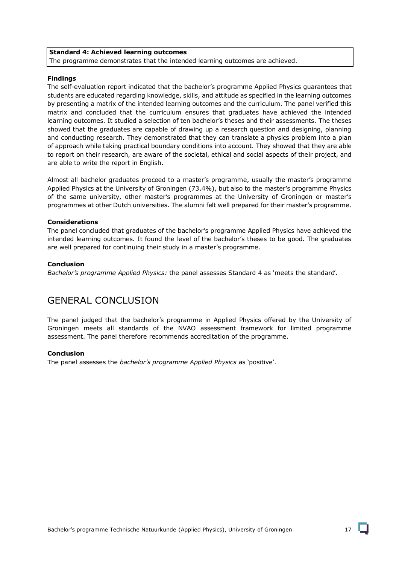#### **Standard 4: Achieved learning outcomes**

The programme demonstrates that the intended learning outcomes are achieved.

#### **Findings**

The self-evaluation report indicated that the bachelor's programme Applied Physics guarantees that students are educated regarding knowledge, skills, and attitude as specified in the learning outcomes by presenting a matrix of the intended learning outcomes and the curriculum. The panel verified this matrix and concluded that the curriculum ensures that graduates have achieved the intended learning outcomes. It studied a selection of ten bachelor's theses and their assessments. The theses showed that the graduates are capable of drawing up a research question and designing, planning and conducting research. They demonstrated that they can translate a physics problem into a plan of approach while taking practical boundary conditions into account. They showed that they are able to report on their research, are aware of the societal, ethical and social aspects of their project, and are able to write the report in English.

Almost all bachelor graduates proceed to a master's programme, usually the master's programme Applied Physics at the University of Groningen (73.4%), but also to the master's programme Physics of the same university, other master's programmes at the University of Groningen or master's programmes at other Dutch universities. The alumni felt well prepared for their master's programme.

#### **Considerations**

The panel concluded that graduates of the bachelor's programme Applied Physics have achieved the intended learning outcomes. It found the level of the bachelor's theses to be good. The graduates are well prepared for continuing their study in a master's programme.

#### **Conclusion**

*Bachelor's programme Applied Physics:* the panel assesses Standard 4 as 'meets the standard'.

### GENERAL CONCLUSION

The panel judged that the bachelor's programme in Applied Physics offered by the University of Groningen meets all standards of the NVAO assessment framework for limited programme assessment. The panel therefore recommends accreditation of the programme.

#### **Conclusion**

The panel assesses the *bachelor's programme Applied Physics* as 'positive'.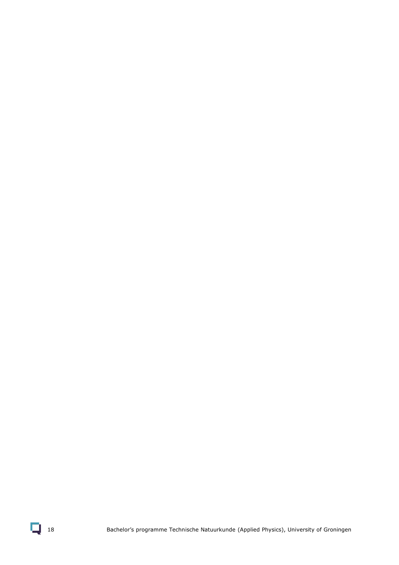<span id="page-17-0"></span>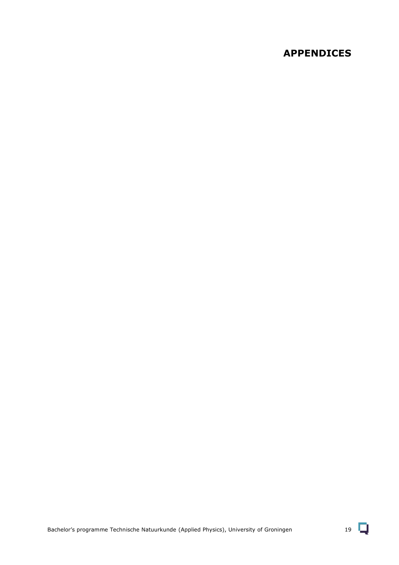### **APPENDICES**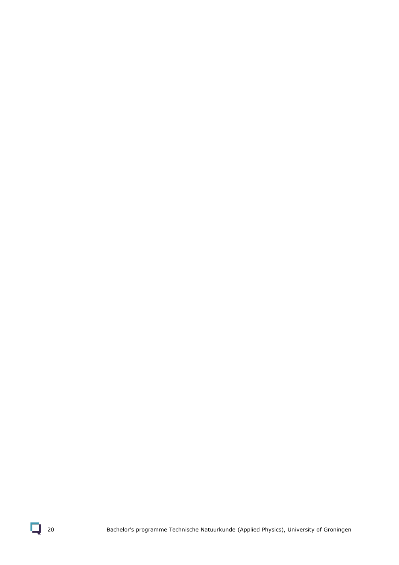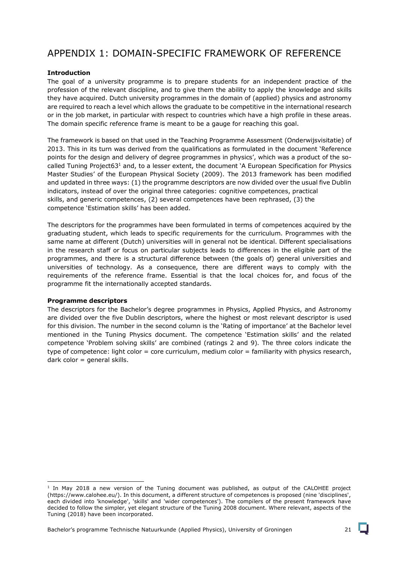# <span id="page-20-0"></span>APPENDIX 1: DOMAIN-SPECIFIC FRAMEWORK OF REFERENCE

#### **Introduction**

The goal of a university programme is to prepare students for an independent practice of the profession of the relevant discipline, and to give them the ability to apply the knowledge and skills they have acquired. Dutch university programmes in the domain of (applied) physics and astronomy are required to reach a level which allows the graduate to be competitive in the international research or in the job market, in particular with respect to countries which have a high profile in these areas. The domain specific reference frame is meant to be a gauge for reaching this goal.

The framework is based on that used in the Teaching Programme Assessment (Onderwijsvisitatie) of 2013. This in its turn was derived from the qualifications as formulated in the document 'Reference points for the design and delivery of degree programmes in physics', which was a product of the socalled Tuning Project63<sup>1</sup> and, to a lesser extent, the document 'A European Specification for Physics Master Studies' of the European Physical Society (2009). The 2013 framework has been modified and updated in three ways: (1) the programme descriptors are now divided over the usual five Dublin indicators, instead of over the original three categories: cognitive competences, practical skills, and generic competences, (2) several competences have been rephrased, (3) the competence 'Estimation skills' has been added.

The descriptors for the programmes have been formulated in terms of competences acquired by the graduating student, which leads to specific requirements for the curriculum. Programmes with the same name at different (Dutch) universities will in general not be identical. Different specialisations in the research staff or focus on particular subjects leads to differences in the eligible part of the programmes, and there is a structural difference between (the goals of) general universities and universities of technology. As a consequence, there are different ways to comply with the requirements of the reference frame. Essential is that the local choices for, and focus of the programme fit the internationally accepted standards.

#### **Programme descriptors**

The descriptors for the Bachelor's degree programmes in Physics, Applied Physics, and Astronomy are divided over the five Dublin descriptors, where the highest or most relevant descriptor is used for this division. The number in the second column is the 'Rating of importance' at the Bachelor level mentioned in the Tuning Physics document. The competence 'Estimation skills' and the related competence 'Problem solving skills' are combined (ratings 2 and 9). The three colors indicate the type of competence: light color = core curriculum, medium color = familiarity with physics research, dark color = general skills.

 1 In May 2018 a new version of the Tuning document was published, as output of the CALOHEE project (https://www.calohee.eu/). In this document, a different structure of competences is proposed (nine 'disciplines', each divided into 'knowledge', 'skills' and 'wider competences'). The compilers of the present framework have decided to follow the simpler, yet elegant structure of the Tuning 2008 document. Where relevant, aspects of the Tuning (2018) have been incorporated.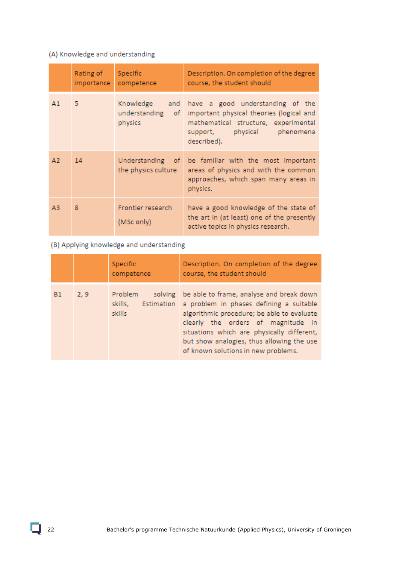### (A) Knowledge and understanding

|    | Rating of<br>importance | Specific<br>competence                          | Description. On completion of the degree<br>course, the student should                                                                                             |
|----|-------------------------|-------------------------------------------------|--------------------------------------------------------------------------------------------------------------------------------------------------------------------|
| A1 | -5.                     | Knowledge<br>and<br>understanding of<br>physics | have a good understanding of the<br>important physical theories (logical and<br>mathematical structure, experimental<br>support, physical phenomena<br>described). |
| A2 | 14                      | Understanding of<br>the physics culture         | be familiar with the most important<br>areas of physics and with the common<br>approaches, which span many areas in<br>physics.                                    |
| A3 | 8                       | Frontier research<br>(MSc only)                 | have a good knowledge of the state of<br>the art in (at least) one of the presently<br>active topics in physics research.                                          |

### (B) Applying knowledge and understanding

|           |      | Specific<br>competence                                 | Description. On completion of the degree<br>course, the student should                                                                                                                                                                                                                                    |
|-----------|------|--------------------------------------------------------|-----------------------------------------------------------------------------------------------------------------------------------------------------------------------------------------------------------------------------------------------------------------------------------------------------------|
| <b>B1</b> | 2, 9 | Problem<br>solving<br>skills,<br>Estimation<br>skills. | be able to frame, analyse and break down<br>a problem in phases defining a suitable<br>algorithmic procedure; be able to evaluate<br>clearly the orders of magnitude in<br>situations which are physically different,<br>but show analogies, thus allowing the use<br>of known solutions in new problems. |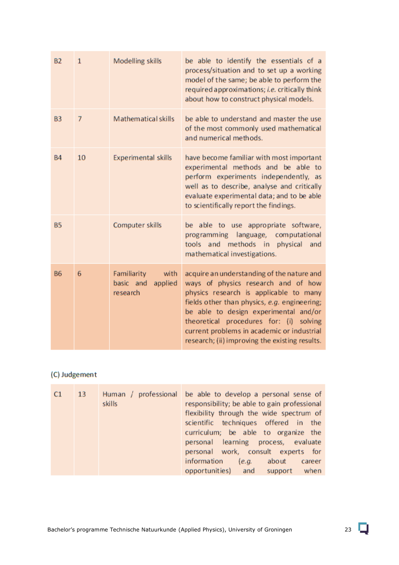| <b>B2</b> | $\mathbf{1}$ | Modelling skills                                        | be able to identify the essentials of a<br>process/situation and to set up a working<br>model of the same; be able to perform the<br>required approximations; i.e. critically think<br>about how to construct physical models.                                                                                                                                  |
|-----------|--------------|---------------------------------------------------------|-----------------------------------------------------------------------------------------------------------------------------------------------------------------------------------------------------------------------------------------------------------------------------------------------------------------------------------------------------------------|
| <b>B3</b> | 7            | Mathematical skills                                     | be able to understand and master the use<br>of the most commonly used mathematical<br>and numerical methods.                                                                                                                                                                                                                                                    |
| <b>B4</b> | 10           | <b>Experimental skills</b>                              | have become familiar with most important<br>experimental methods and be able to<br>perform experiments independently, as<br>well as to describe, analyse and critically<br>evaluate experimental data; and to be able<br>to scientifically report the findings.                                                                                                 |
| <b>B5</b> |              | <b>Computer skills</b>                                  | be able to use appropriate software,<br>programming<br>language,<br>computational<br>tools and methods in physical<br>and<br>mathematical investigations.                                                                                                                                                                                                       |
| <b>B6</b> | 6            | Familiarity<br>with<br>basic and<br>applied<br>research | acquire an understanding of the nature and<br>ways of physics research and of how<br>physics research is applicable to many<br>fields other than physics, e.g. engineering;<br>be able to design experimental and/or<br>theoretical procedures for: (i) solving<br>current problems in academic or industrial<br>research; (ii) improving the existing results. |

### (C) Judgement

| C1 | 13 | professional<br>Human<br>skills | be able to develop a personal sense of<br>responsibility; be able to gain professional<br>flexibility through the wide spectrum of<br>scientific techniques offered in the<br>curriculum; be able to organize the<br>learning process, evaluate<br>personal<br>personal work, consult experts for |
|----|----|---------------------------------|---------------------------------------------------------------------------------------------------------------------------------------------------------------------------------------------------------------------------------------------------------------------------------------------------|
|    |    |                                 | information<br>about<br>(e.g.<br>career<br>opportunities)<br>when<br>support<br>and                                                                                                                                                                                                               |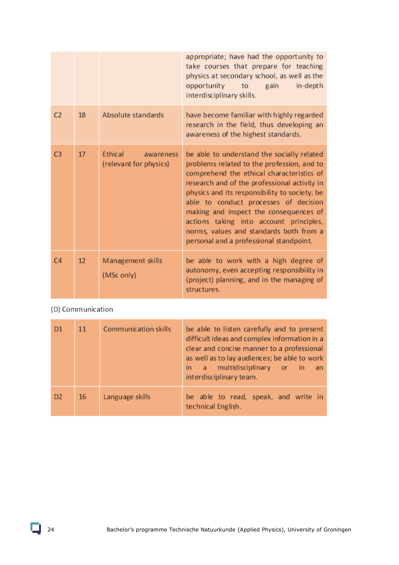|                |    |                                                | appropriate; have had the opportunity to<br>take courses that prepare for teaching<br>physics at secondary school, as well as the<br>opportunity<br>in-depth<br>to to<br>gain<br>interdisciplinary skills.                                                                                                                                                                                                                                                 |
|----------------|----|------------------------------------------------|------------------------------------------------------------------------------------------------------------------------------------------------------------------------------------------------------------------------------------------------------------------------------------------------------------------------------------------------------------------------------------------------------------------------------------------------------------|
| C <sub>2</sub> | 18 | Absolute standards                             | have become familiar with highly regarded<br>research in the field, thus developing an<br>awareness of the highest standards.                                                                                                                                                                                                                                                                                                                              |
| C <sub>3</sub> | 17 | Ethical<br>awareness<br>(relevant for physics) | be able to understand the socially related<br>problems related to the profession, and to<br>comprehend the ethical characteristics of<br>research and of the professional activity in<br>physics and its responsibility to society; be<br>able to conduct processes of decision<br>making and inspect the consequences of<br>actions taking into account principles,<br>norms, values and standards both from a<br>personal and a professional standpoint. |
| C <sub>4</sub> | 12 | Management skills<br>(MSc only)                | be able to work with a high degree of<br>autonomy, even accepting responsibility in<br>(project) planning, and in the managing of<br>structures.                                                                                                                                                                                                                                                                                                           |

### (D) Communication

| D <sub>1</sub> | 11 | <b>Communication skills</b> | be able to listen carefully and to present<br>difficult ideas and complex information in a<br>clear and concise manner to a professional<br>as well as to lay audiences; be able to work<br>in a multidisciplinary or<br>in<br>an<br>interdisciplinary team. |
|----------------|----|-----------------------------|--------------------------------------------------------------------------------------------------------------------------------------------------------------------------------------------------------------------------------------------------------------|
| D <sub>2</sub> | 16 | Language skills             | be able to read, speak, and write in<br>technical English.                                                                                                                                                                                                   |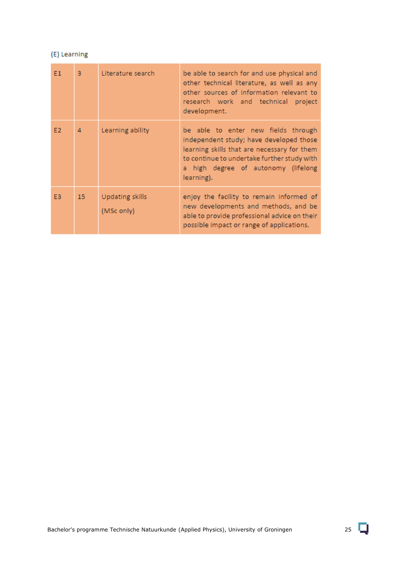### (E) Learning

| E1             | 3  | Literature search             | be able to search for and use physical and<br>other technical literature, as well as any<br>other sources of information relevant to<br>research work and technical project<br>development.                                       |
|----------------|----|-------------------------------|-----------------------------------------------------------------------------------------------------------------------------------------------------------------------------------------------------------------------------------|
| E <sub>2</sub> | 4  | Learning ability              | be able to enter new fields through<br>independent study; have developed those<br>learning skills that are necessary for them<br>to continue to undertake further study with<br>a high degree of autonomy (lifelong<br>learning). |
| E <sub>3</sub> | 15 | Updating skills<br>(MSc only) | enjoy the facility to remain informed of<br>new developments and methods, and be<br>able to provide professional advice on their<br>possible impact or range of applications.                                                     |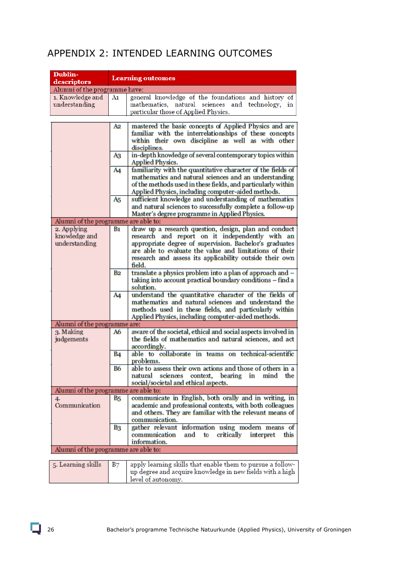# <span id="page-25-0"></span>APPENDIX 2: INTENDED LEARNING OUTCOMES

| <b>Dublin-</b><br>descriptors                 |                       | <b>Learning outcomes</b>                                                                                                                                                                                                                                                                            |
|-----------------------------------------------|-----------------------|-----------------------------------------------------------------------------------------------------------------------------------------------------------------------------------------------------------------------------------------------------------------------------------------------------|
| Alumni of the programme have:                 |                       |                                                                                                                                                                                                                                                                                                     |
| 1. Knowledge and<br>understanding             | A <sub>1</sub>        | general knowledge of the foundations and history of<br>mathematics, natural sciences and technology,<br>$\mathbf{m}$<br>particular those of Applied Physics.                                                                                                                                        |
|                                               | A2                    | mastered the basic concepts of Applied Physics and are<br>familiar with the interrelationships of these concepts<br>within their own discipline as well as with other<br>disciplines.                                                                                                               |
|                                               | A3                    | in-depth knowledge of several contemporary topics within<br><b>Applied Physics.</b>                                                                                                                                                                                                                 |
|                                               | A4                    | familiarity with the quantitative character of the fields of<br>mathematics and natural sciences and an understanding<br>of the methods used in these fields, and particularly within<br>Applied Physics, including computer-aided methods.                                                         |
|                                               | A5                    | sufficient knowledge and understanding of mathematics<br>and natural sciences to successfully complete a follow-up<br>Master's degree programme in Applied Physics.                                                                                                                                 |
| Alumni of the programme are able to:          |                       |                                                                                                                                                                                                                                                                                                     |
| 2. Applying<br>knowledge and<br>understanding | B1                    | draw up a research question, design, plan and conduct<br>research and report on it independently with an<br>appropriate degree of supervision. Bachelor's graduates<br>are able to evaluate the value and limitations of their<br>research and assess its applicability outside their own<br>field. |
|                                               | B2                    | translate a physics problem into a plan of approach and -<br>taking into account practical boundary conditions - find a<br>solution.                                                                                                                                                                |
|                                               | A4                    | understand the quantitative character of the fields of<br>mathematics and natural sciences and understand the<br>methods used in these fields, and particularly within<br>Applied Physics, including computer-aided methods.                                                                        |
| Alumni of the programme are:                  |                       |                                                                                                                                                                                                                                                                                                     |
| 3. Making<br>judgements                       | A6                    | aware of the societal, ethical and social aspects involved in<br>the fields of mathematics and natural sciences, and act<br>accordingly.                                                                                                                                                            |
|                                               | <b>B</b> <sub>4</sub> | able to collaborate in teams on technical-scientific<br>problems.                                                                                                                                                                                                                                   |
|                                               | B <sub>6</sub>        | able to assess their own actions and those of others in a<br>sciences context, bearing in<br>natural<br>mind<br>the<br>social/societal and ethical aspects.                                                                                                                                         |
| Alumni of the programme are able to:          |                       |                                                                                                                                                                                                                                                                                                     |
| 4.<br>Communication                           | B5                    | communicate in English, both orally and in writing, in<br>academic and professional contexts, with both colleagues<br>and others. They are familiar with the relevant means of<br>communication.                                                                                                    |
|                                               | B3                    | gather relevant information using modern means of<br>communication<br>critically<br>interpret<br>and<br>to<br>this<br>information.                                                                                                                                                                  |
| Alumni of the programme are able to:          |                       |                                                                                                                                                                                                                                                                                                     |
|                                               |                       |                                                                                                                                                                                                                                                                                                     |
| 5. Learning skills                            | B <sub>7</sub>        | apply learning skills that enable them to pursue a follow-<br>up degree and acquire knowledge in new fields with a high<br>level of autonomy.                                                                                                                                                       |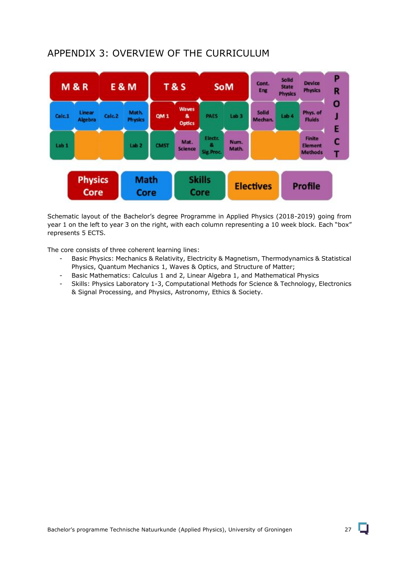## <span id="page-26-0"></span>APPENDIX 3: OVERVIEW OF THE CURRICULUM



Schematic layout of the Bachelor's degree Programme in Applied Physics (2018-2019) going from year 1 on the left to year 3 on the right, with each column representing a 10 week block. Each "box" represents 5 ECTS.

The core consists of three coherent learning lines:

- Basic Physics: Mechanics & Relativity, Electricity & Magnetism, Thermodynamics & Statistical Physics, Quantum Mechanics 1, Waves & Optics, and Structure of Matter;
- Basic Mathematics: Calculus 1 and 2, Linear Algebra 1, and Mathematical Physics
- Skills: Physics Laboratory 1-3, Computational Methods for Science & Technology, Electronics & Signal Processing, and Physics, Astronomy, Ethics & Society.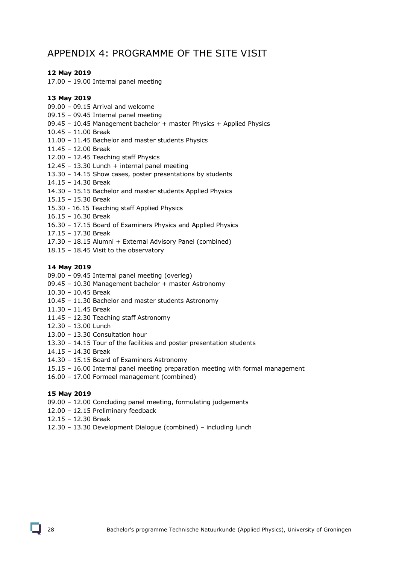### <span id="page-27-0"></span>APPENDIX 4: PROGRAMME OF THE SITE VISIT

#### **12 May 2019**

17.00 – 19.00 Internal panel meeting

#### **13 May 2019**

- 09.00 09.15 Arrival and welcome
- 09.15 09.45 Internal panel meeting
- 09.45 10.45 Management bachelor + master Physics + Applied Physics
- 10.45 11.00 Break
- 11.00 11.45 Bachelor and master students Physics
- 11.45 12.00 Break
- 12.00 12.45 Teaching staff Physics
- 12.45 13.30 Lunch + internal panel meeting
- 13.30 14.15 Show cases, poster presentations by students
- 14.15 14.30 Break
- 14.30 15.15 Bachelor and master students Applied Physics
- 15.15 15.30 Break
- 15.30 16.15 Teaching staff Applied Physics
- 16.15 16.30 Break
- 16.30 17.15 Board of Examiners Physics and Applied Physics
- 17.15 17.30 Break
- 17.30 18.15 Alumni + External Advisory Panel (combined)
- 18.15 18.45 Visit to the observatory

#### **14 May 2019**

- 09.00 09.45 Internal panel meeting (overleg)
- 09.45 10.30 Management bachelor + master Astronomy
- 10.30 10.45 Break
- 10.45 11.30 Bachelor and master students Astronomy
- 11.30 11.45 Break
- 11.45 12.30 Teaching staff Astronomy
- 12.30 13.00 Lunch
- 13.00 13.30 Consultation hour
- 13.30 14.15 Tour of the facilities and poster presentation students
- 14.15 14.30 Break
- 14.30 15.15 Board of Examiners Astronomy
- 15.15 16.00 Internal panel meeting preparation meeting with formal management
- 16.00 17.00 Formeel management (combined)

#### **15 May 2019**

- 09.00 12.00 Concluding panel meeting, formulating judgements
- 12.00 12.15 Preliminary feedback
- 12.15 12.30 Break
- 12.30 13.30 Development Dialogue (combined) including lunch